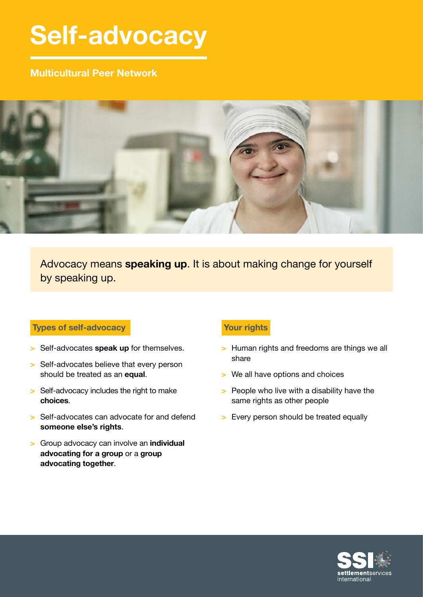# **Self-advocacy**

## **Multicultural Peer Network**



Advocacy means **speaking up**. It is about making change for yourself by speaking up.

## **Types of self-advocacy**

- **>** Self-advocates **speak up** for themselves.
- **>** Self-advocates believe that every person should be treated as an **equal**.
- **>** Self-advocacy includes the right to make **choices**.
- **>** Self-advocates can advocate for and defend **someone else's rights**.
- **>** Group advocacy can involve an **individual advocating for a group** or a **group advocating together**.

## **Your rights**

- **>** Human rights and freedoms are things we all share
- **>** We all have options and choices
- **>** People who live with a disability have the same rights as other people
- **>** Every person should be treated equally